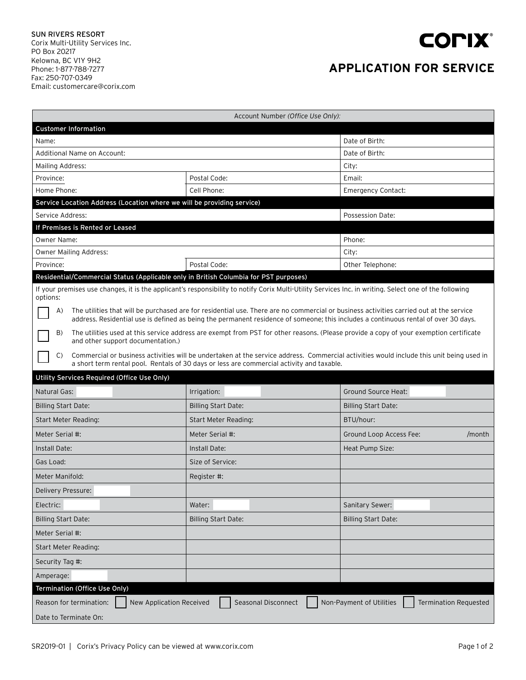

## **APPLICATION FOR SERVICE**

| Account Number (Office Use Only):                                                                                                                                                                                                                                                    |                                                                                           |                                                          |  |  |
|--------------------------------------------------------------------------------------------------------------------------------------------------------------------------------------------------------------------------------------------------------------------------------------|-------------------------------------------------------------------------------------------|----------------------------------------------------------|--|--|
| <b>Customer Information</b>                                                                                                                                                                                                                                                          |                                                                                           |                                                          |  |  |
| Name:                                                                                                                                                                                                                                                                                |                                                                                           | Date of Birth:                                           |  |  |
| Additional Name on Account:                                                                                                                                                                                                                                                          |                                                                                           | Date of Birth:                                           |  |  |
| Mailing Address:                                                                                                                                                                                                                                                                     |                                                                                           | City:                                                    |  |  |
| Province:                                                                                                                                                                                                                                                                            | Postal Code:                                                                              | Email:                                                   |  |  |
| Home Phone:                                                                                                                                                                                                                                                                          | Cell Phone:                                                                               | <b>Emergency Contact:</b>                                |  |  |
| Service Location Address (Location where we will be providing service)                                                                                                                                                                                                               |                                                                                           |                                                          |  |  |
| Service Address:                                                                                                                                                                                                                                                                     |                                                                                           | Possession Date:                                         |  |  |
| If Premises is Rented or Leased                                                                                                                                                                                                                                                      |                                                                                           |                                                          |  |  |
| <b>Owner Name:</b>                                                                                                                                                                                                                                                                   |                                                                                           | Phone:                                                   |  |  |
| Owner Mailing Address:                                                                                                                                                                                                                                                               |                                                                                           | City:                                                    |  |  |
| Province:                                                                                                                                                                                                                                                                            | Postal Code:                                                                              | Other Telephone:                                         |  |  |
| Residential/Commercial Status (Applicable only in British Columbia for PST purposes)                                                                                                                                                                                                 |                                                                                           |                                                          |  |  |
| If your premises use changes, it is the applicant's responsibility to notify Corix Multi-Utility Services Inc. in writing. Select one of the following<br>options:                                                                                                                   |                                                                                           |                                                          |  |  |
| The utilities that will be purchased are for residential use. There are no commercial or business activities carried out at the service<br>A)<br>address. Residential use is defined as being the permanent residence of someone; this includes a continuous rental of over 30 days. |                                                                                           |                                                          |  |  |
| The utilities used at this service address are exempt from PST for other reasons. (Please provide a copy of your exemption certificate<br>B)<br>and other support documentation.)                                                                                                    |                                                                                           |                                                          |  |  |
| Commercial or business activities will be undertaken at the service address. Commercial activities would include this unit being used in<br>C)                                                                                                                                       |                                                                                           |                                                          |  |  |
|                                                                                                                                                                                                                                                                                      | a short term rental pool. Rentals of 30 days or less are commercial activity and taxable. |                                                          |  |  |
|                                                                                                                                                                                                                                                                                      |                                                                                           |                                                          |  |  |
| Utility Services Required (Office Use Only)                                                                                                                                                                                                                                          |                                                                                           |                                                          |  |  |
| Natural Gas:                                                                                                                                                                                                                                                                         | Irrigation:                                                                               | <b>Ground Source Heat:</b>                               |  |  |
| <b>Billing Start Date:</b>                                                                                                                                                                                                                                                           | <b>Billing Start Date:</b>                                                                | <b>Billing Start Date:</b>                               |  |  |
| Start Meter Reading:                                                                                                                                                                                                                                                                 | Start Meter Reading:                                                                      | BTU/hour:                                                |  |  |
| Meter Serial #:                                                                                                                                                                                                                                                                      | Meter Serial #:                                                                           | Ground Loop Access Fee:<br>/month                        |  |  |
| Install Date:                                                                                                                                                                                                                                                                        | Install Date:                                                                             | Heat Pump Size:                                          |  |  |
| Gas Load:                                                                                                                                                                                                                                                                            | Size of Service:                                                                          |                                                          |  |  |
| Meter Manifold:                                                                                                                                                                                                                                                                      | Register #:                                                                               |                                                          |  |  |
| Delivery Pressure:                                                                                                                                                                                                                                                                   |                                                                                           |                                                          |  |  |
| Electric:                                                                                                                                                                                                                                                                            | Water:                                                                                    | Sanitary Sewer:                                          |  |  |
| <b>Billing Start Date:</b>                                                                                                                                                                                                                                                           | <b>Billing Start Date:</b>                                                                | <b>Billing Start Date:</b>                               |  |  |
| Meter Serial #:                                                                                                                                                                                                                                                                      |                                                                                           |                                                          |  |  |
| Start Meter Reading:                                                                                                                                                                                                                                                                 |                                                                                           |                                                          |  |  |
| Security Tag #:                                                                                                                                                                                                                                                                      |                                                                                           |                                                          |  |  |
| Amperage:                                                                                                                                                                                                                                                                            |                                                                                           |                                                          |  |  |
| Termination (Office Use Only)                                                                                                                                                                                                                                                        |                                                                                           |                                                          |  |  |
| Reason for termination:<br>New Application Received                                                                                                                                                                                                                                  | Seasonal Disconnect                                                                       | Non-Payment of Utilities<br><b>Termination Requested</b> |  |  |